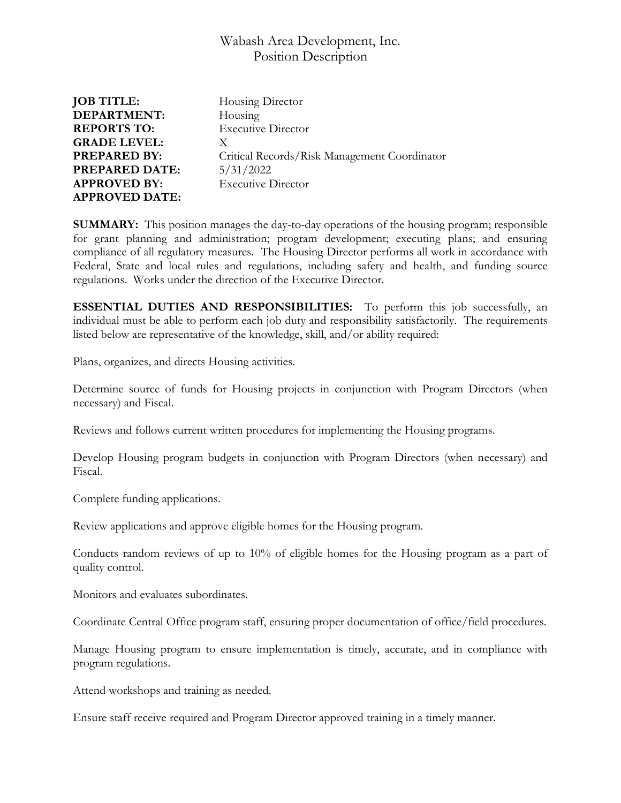| <b>JOB TITLE:</b>     | Housing Director                             |
|-----------------------|----------------------------------------------|
| <b>DEPARTMENT:</b>    | Housing                                      |
| <b>REPORTS TO:</b>    | <b>Executive Director</b>                    |
| <b>GRADE LEVEL:</b>   | X                                            |
| <b>PREPARED BY:</b>   | Critical Records/Risk Management Coordinator |
| <b>PREPARED DATE:</b> | 5/31/2022                                    |
| <b>APPROVED BY:</b>   | <b>Executive Director</b>                    |
| <b>APPROVED DATE:</b> |                                              |
|                       |                                              |

**SUMMARY:** This position manages the day-to-day operations of the housing program; responsible for grant planning and administration; program development; executing plans; and ensuring compliance of all regulatory measures. The Housing Director performs all work in accordance with Federal, State and local rules and regulations, including safety and health, and funding source regulations. Works under the direction of the Executive Director.

**ESSENTIAL DUTIES AND RESPONSIBILITIES:** To perform this job successfully, an individual must be able to perform each job duty and responsibility satisfactorily. The requirements listed below are representative of the knowledge, skill, and/or ability required:

Plans, organizes, and directs Housing activities.

Determine source of funds for Housing projects in conjunction with Program Directors (when necessary) and Fiscal.

Reviews and follows current written procedures for implementing the Housing programs.

Develop Housing program budgets in conjunction with Program Directors (when necessary) and Fiscal.

Complete funding applications.

Review applications and approve eligible homes for the Housing program.

Conducts random reviews of up to 10% of eligible homes for the Housing program as a part of quality control.

Monitors and evaluates subordinates.

Coordinate Central Office program staff, ensuring proper documentation of office/field procedures.

Manage Housing program to ensure implementation is timely, accurate, and in compliance with program regulations.

Attend workshops and training as needed.

Ensure staff receive required and Program Director approved training in a timely manner.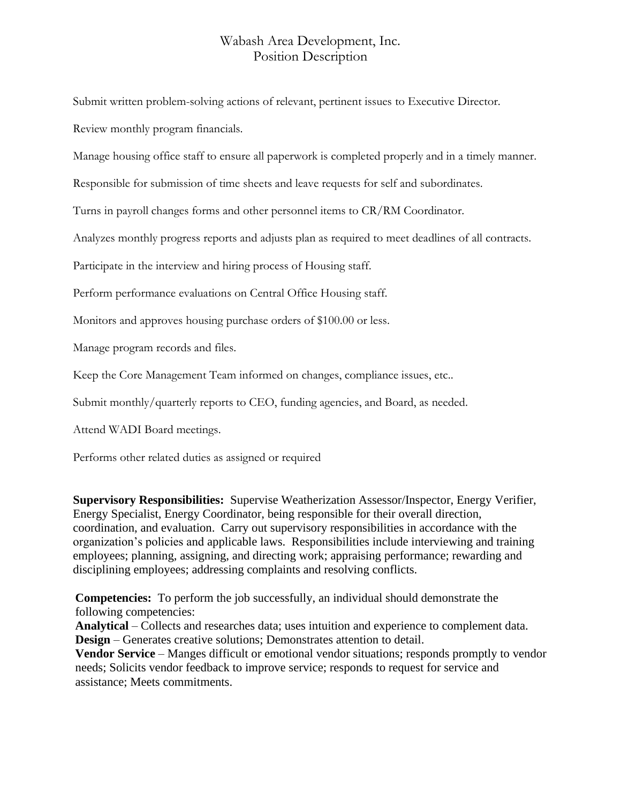Submit written problem-solving actions of relevant, pertinent issues to Executive Director.

Review monthly program financials.

Manage housing office staff to ensure all paperwork is completed properly and in a timely manner.

Responsible for submission of time sheets and leave requests for self and subordinates.

Turns in payroll changes forms and other personnel items to CR/RM Coordinator.

Analyzes monthly progress reports and adjusts plan as required to meet deadlines of all contracts.

Participate in the interview and hiring process of Housing staff.

Perform performance evaluations on Central Office Housing staff.

Monitors and approves housing purchase orders of \$100.00 or less.

Manage program records and files.

Keep the Core Management Team informed on changes, compliance issues, etc..

Submit monthly/quarterly reports to CEO, funding agencies, and Board, as needed.

Attend WADI Board meetings.

Performs other related duties as assigned or required

**Supervisory Responsibilities:** Supervise Weatherization Assessor/Inspector, Energy Verifier, Energy Specialist, Energy Coordinator, being responsible for their overall direction, coordination, and evaluation. Carry out supervisory responsibilities in accordance with the organization's policies and applicable laws. Responsibilities include interviewing and training employees; planning, assigning, and directing work; appraising performance; rewarding and disciplining employees; addressing complaints and resolving conflicts.

**Competencies:** To perform the job successfully, an individual should demonstrate the following competencies:

**Analytical** – Collects and researches data; uses intuition and experience to complement data. **Design** – Generates creative solutions; Demonstrates attention to detail.

**Vendor Service** – Manges difficult or emotional vendor situations; responds promptly to vendor needs; Solicits vendor feedback to improve service; responds to request for service and assistance; Meets commitments.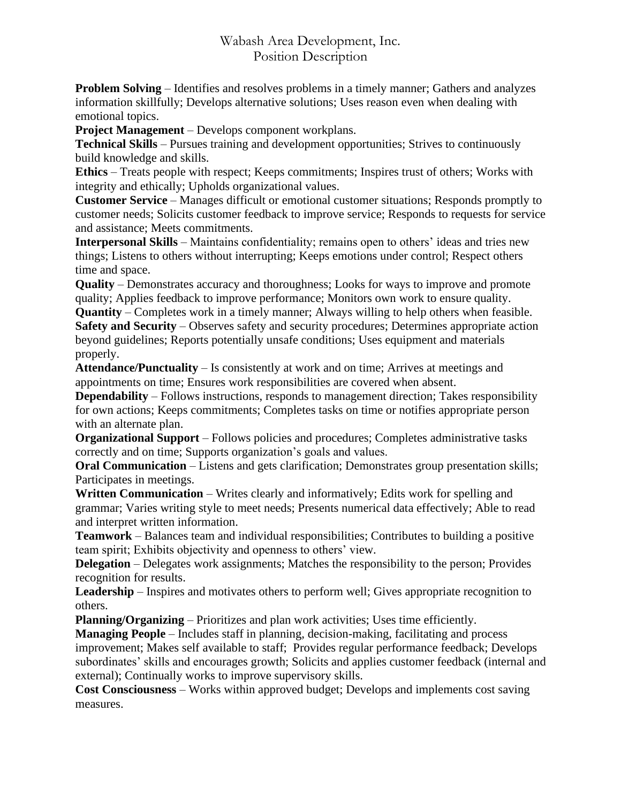**Problem Solving** – Identifies and resolves problems in a timely manner; Gathers and analyzes information skillfully; Develops alternative solutions; Uses reason even when dealing with emotional topics.

**Project Management** – Develops component workplans.

**Technical Skills** – Pursues training and development opportunities; Strives to continuously build knowledge and skills.

**Ethics** – Treats people with respect; Keeps commitments; Inspires trust of others; Works with integrity and ethically; Upholds organizational values.

**Customer Service** – Manages difficult or emotional customer situations; Responds promptly to customer needs; Solicits customer feedback to improve service; Responds to requests for service and assistance; Meets commitments.

**Interpersonal Skills** – Maintains confidentiality; remains open to others' ideas and tries new things; Listens to others without interrupting; Keeps emotions under control; Respect others time and space.

**Quality** – Demonstrates accuracy and thoroughness; Looks for ways to improve and promote quality; Applies feedback to improve performance; Monitors own work to ensure quality.

**Quantity** – Completes work in a timely manner; Always willing to help others when feasible. **Safety and Security** – Observes safety and security procedures; Determines appropriate action beyond guidelines; Reports potentially unsafe conditions; Uses equipment and materials properly.

**Attendance/Punctuality** – Is consistently at work and on time; Arrives at meetings and appointments on time; Ensures work responsibilities are covered when absent.

**Dependability** – Follows instructions, responds to management direction; Takes responsibility for own actions; Keeps commitments; Completes tasks on time or notifies appropriate person with an alternate plan.

**Organizational Support** – Follows policies and procedures; Completes administrative tasks correctly and on time; Supports organization's goals and values.

**Oral Communication** – Listens and gets clarification; Demonstrates group presentation skills; Participates in meetings.

**Written Communication** – Writes clearly and informatively; Edits work for spelling and grammar; Varies writing style to meet needs; Presents numerical data effectively; Able to read and interpret written information.

**Teamwork** – Balances team and individual responsibilities; Contributes to building a positive team spirit; Exhibits objectivity and openness to others' view.

**Delegation** – Delegates work assignments; Matches the responsibility to the person; Provides recognition for results.

**Leadership** – Inspires and motivates others to perform well; Gives appropriate recognition to others.

**Planning/Organizing** – Prioritizes and plan work activities; Uses time efficiently.

**Managing People** – Includes staff in planning, decision-making, facilitating and process improvement; Makes self available to staff; Provides regular performance feedback; Develops subordinates' skills and encourages growth; Solicits and applies customer feedback (internal and external); Continually works to improve supervisory skills.

**Cost Consciousness** – Works within approved budget; Develops and implements cost saving measures.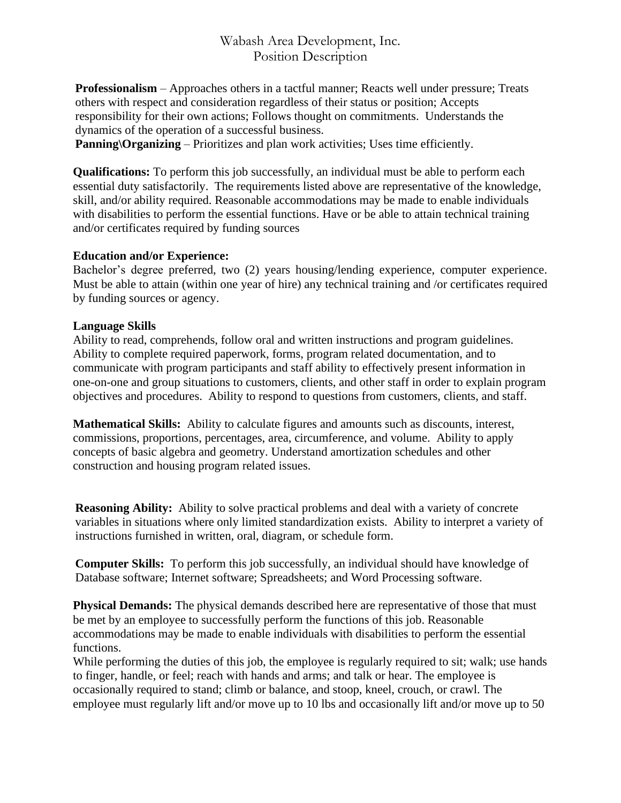**Professionalism** – Approaches others in a tactful manner; Reacts well under pressure; Treats others with respect and consideration regardless of their status or position; Accepts responsibility for their own actions; Follows thought on commitments. Understands the dynamics of the operation of a successful business.

**Panning\Organizing** – Prioritizes and plan work activities; Uses time efficiently.

**Qualifications:** To perform this job successfully, an individual must be able to perform each essential duty satisfactorily. The requirements listed above are representative of the knowledge, skill, and/or ability required. Reasonable accommodations may be made to enable individuals with disabilities to perform the essential functions. Have or be able to attain technical training and/or certificates required by funding sources

#### **Education and/or Experience:**

Bachelor's degree preferred, two (2) years housing/lending experience, computer experience. Must be able to attain (within one year of hire) any technical training and /or certificates required by funding sources or agency.

#### **Language Skills**

Ability to read, comprehends, follow oral and written instructions and program guidelines. Ability to complete required paperwork, forms, program related documentation, and to communicate with program participants and staff ability to effectively present information in one-on-one and group situations to customers, clients, and other staff in order to explain program objectives and procedures. Ability to respond to questions from customers, clients, and staff.

**Mathematical Skills:** Ability to calculate figures and amounts such as discounts, interest, commissions, proportions, percentages, area, circumference, and volume. Ability to apply concepts of basic algebra and geometry. Understand amortization schedules and other construction and housing program related issues.

**Reasoning Ability:** Ability to solve practical problems and deal with a variety of concrete variables in situations where only limited standardization exists. Ability to interpret a variety of instructions furnished in written, oral, diagram, or schedule form.

**Computer Skills:** To perform this job successfully, an individual should have knowledge of Database software; Internet software; Spreadsheets; and Word Processing software.

**Physical Demands:** The physical demands described here are representative of those that must be met by an employee to successfully perform the functions of this job. Reasonable accommodations may be made to enable individuals with disabilities to perform the essential functions.

While performing the duties of this job, the employee is regularly required to sit; walk; use hands to finger, handle, or feel; reach with hands and arms; and talk or hear. The employee is occasionally required to stand; climb or balance, and stoop, kneel, crouch, or crawl. The employee must regularly lift and/or move up to 10 lbs and occasionally lift and/or move up to 50